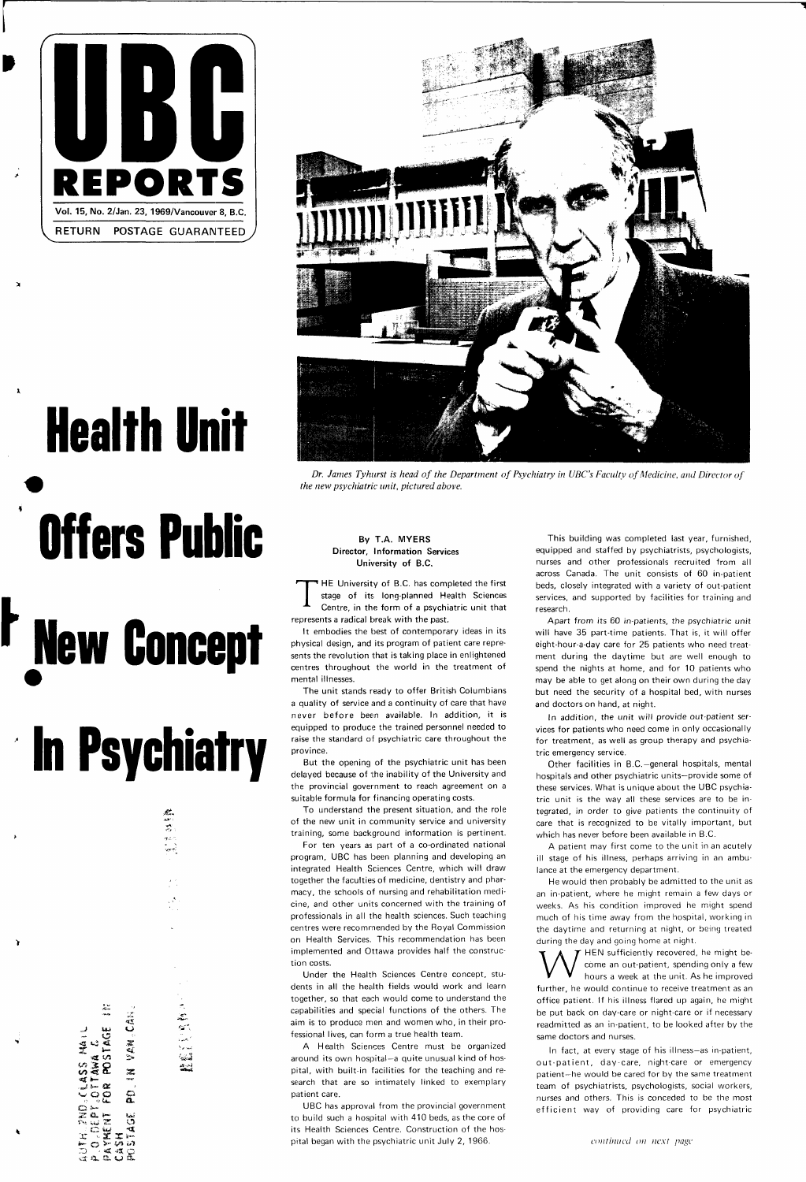

# **Health Unit Offers Public**

 $\lambda$ 

## **r New Concept**

tfl **36 O**   $\frac{1}{2}$ **. j s- ac**   $\frac{\alpha}{2}$ **»** *'•>* **Uw**   $z$  e  $\simeq$ r-., . . . ™»\* **•' G \*\*J**   $\mathbb{E} \circ \mathbb{X}$  $\vec{a}$  a.  $\vec{a}$ .  $\vec{b}$  これのこと

# **In Psychiatry**

**.JK. 84. 84. 84. 84. 84. 84. 84. 84.** 



Dr. James Tyhurst is head of the Department of Psychiatry in UBC's Faculty of Medicine, and Director of *the new psychiatric unit, pictured above.* 

**146**<br>**4** *C*<br>STAG

Þ

#### **By T.A. MYERS Director, Information Services University of B.C.**

**T HE** University of B.C. has completed the first stage of its long-planned Health Sciences Centre, in the form of a psychiatric unit that represents a radical break with the past.

It embodies the best of contemporary ideas in its physical design, and its program of patient care represents the revolution that is taking place in enlightened centres throughout the world in the treatment of mental illnesses.

The unit stands ready to offer British Columbians a quality of service and a continuity of care that have never before been available. In addition, it is equipped to produce the trained personnel needed to raise the standard of psychiatric care throughout the province.

But the opening of the psychiatric unit has been delayed because of the inability of the University and the provincial government to reach agreement on a suitable formula for financing operating costs.

To understand the present situation, and the role of the new unit in community service and university training, some background information is pertinent.

For ten years as part of a co-ordinated national program, UBC has been planning and developing an integrated Health Sciences Centre, which will draw together the faculties of medicine, dentistry and pharmacy, the schools of nursing and rehabilitation medicine, and other units concerned with the training of professionals in all the health sciences. Such teaching centres were recommended by the Royal Commission on Health Services. This recommendation has been implemented and Ottawa provides half the construction costs.

Under the Health Sciences Centre concept, students in all the health fields would work and learn together, so that each would come to understand the capabilities and special functions of the others. The aim is to produce men and women who, in their professional lives, can form a true health team.

W HEN sufficiently recovered, he might be-<br>hours a week at the unit. As he improved<br>further, he would continue to receive treatment as an HEN sufficiently recovered, he might become an out-patient, spending only a few hours a week at the unit. As he improved office patient. If his illness flared up again, he might be put back on day-care or night-care or if necessary readmitted as an in-patient, to be looked after by the same doctors and nurses.

In fact, at every stage of his illness—as in-patient, out-patient, day-care, night-care or emergency patient—he would be cared for by the same treatment team of psychiatrists, psychologists, social workers, nurses and others. This is conceded to be the most efficient way of providing care for psychiatric

A Health Sciences Centre must be organized around its own hospital—a quite unusual kind of hospital, with built-in facilities for the teaching and research that are so intimately linked to exemplary patient care.

UBC has approval from the provincial government to build such a hospital with 410 beds, as the core of its Health Sciences Centre. Construction of the hospital began with the psychiatric unit July 2, 1966.

This building was completed last year, furnished, equipped and staffed by psychiatrists, psychologists, nurses and other professionals recruited from all across Canada. The unit consists of 60 in-patient beds, closely integrated with a variety of out-patient services, and supported by facilities for training and research.

Apart from its 60 in-patients, the psychiatric unit will have 35 part-time patients. That is, it will offer eight-hour-a-day care for 25 patients who need treatment during the daytime but are well enough to spend the nights at home, and for 10 patients who may be able to get along on their own during the day but need the security of a hospital bed, with nurses and doctors on hand, at night.

In addition, the unit will provide out-patient services for patients who need come in only occasionally for treatment, as well as group therapy and psychiatric emergency service.

Other facilities in B.C.—general hospitals, mental hospitals and other psychiatric units—provide some of these services. What is unique about the UBC psychiatric unit is the way all these services are to be integrated, in order to give patients the continuity of care that is recognized to be vitally important, but which has never before been available in B.C.

A patient may first come to the unit in an acutely ill stage of his illness, perhaps arriving in an ambulance at the emergency department.

He would then probably be admitted to the unit as an in-patient, where he might remain a few days or weeks. As his condition improved he might spend much of his time away from the hospital, working in the daytime and returning at night, or being treated during the day and going home at night.

*continued on next page*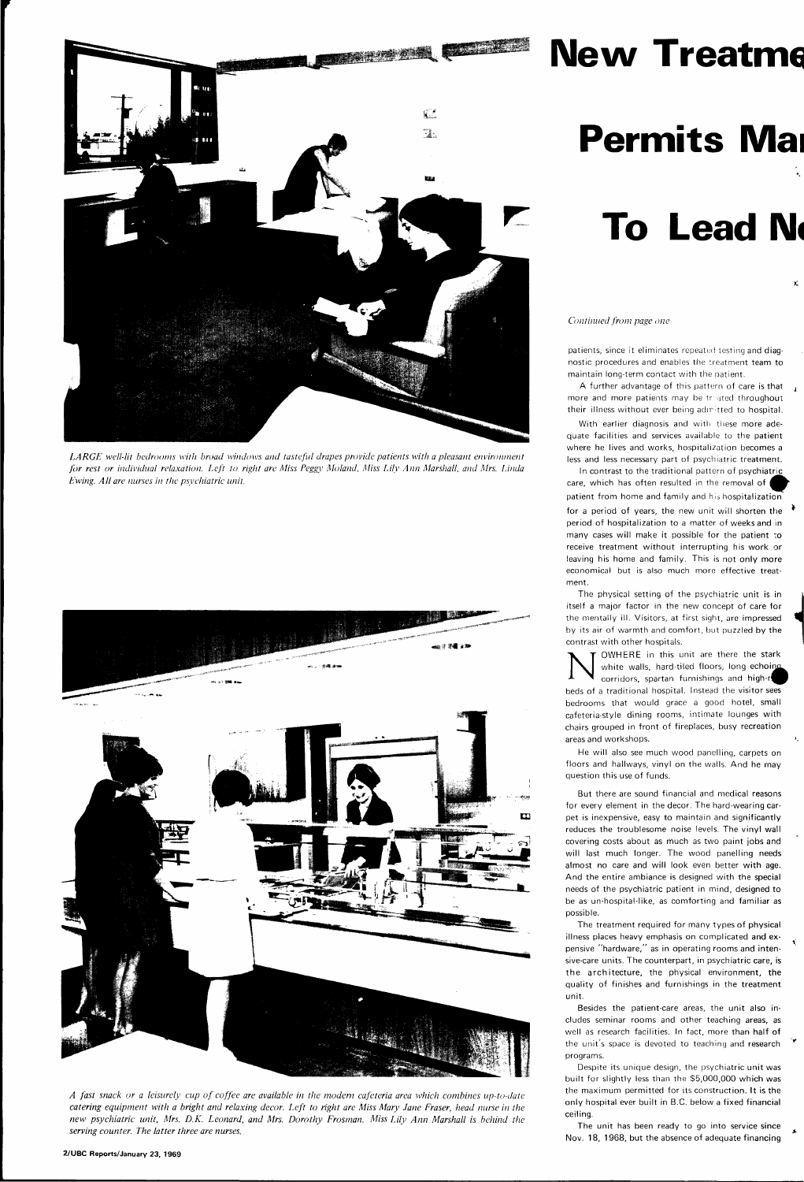

*LARGE well-lit bedrooms with broad windows and tasteful drapes provide patients with a pleasant environment for rest or individual relaxation. Left to right are Miss Peggy Moland, Miss Lily Ann Marshall, and Mrs. Linda Ewing. All are nurses in the psychiatric unit.* 



### **New Treatme**

*A fast snack or a leisurely cup of coffee are available in the modern cafeteria area which combines up-to-date catering equipment with a bright and relaxing decor. Left to right are Miss Mary Jane Fraser, head nurse in the new psychiatric unit, Mrs. D.K. Leonard, and Mrs. Dorothy Frosman. Miss Lily Ann Marshall is behind the serving counter. The latter three are nurses.* 

A further advantage of this pattern of care is that more and more patients may be treated throughout their illness without ever being admitted to hospital.

With earlier diagnosis and with these more adequate facilities and services available to the patient where he lives and works, hospitalization becomes a less and less necessary part of psychiatric treatment.

**2/UBC Reports/January 23, 1969** 

## **Permits Mai**

### **To Lead No**

*Continued from page one* 

patients, since it eliminates repeated testing and diagnostic procedures and enables the treatment team to maintain long-term contact with the patient.

contrast with other hospitals.<br>
We white walls, hard-til corridors, spartan functional corridors, spartan function OWHERE in this unit are there the stark white walls, hard-tiled floors, long echoing corridors, spartan furnishings and high-r beds of a traditional hospital. Instead the visitor sees bedrooms that would grace a good hotel, small cafeteria-style dining rooms, intimate lounges with chairs grouped in front of fireplaces, busy recreation areas and workshops.

In contrast to the traditional pattern of psychiatric care, which has often resulted in the removal of patient from home and family and his hospitalization for a period of years, the new unit will shorten the period of hospitalization to a matter of weeks and in many cases will make it possible for the patient to receive treatment without interrupting his work or leaving his home and family. This is not only more economical but is also much more effective treatment.

The physical setting of the psychiatric unit is in itself a major factor in the new concept of care for the mentally ill. Visitors, at first sight, are impressed by its air of warmth and comfort, but puzzled by the

He will also see much wood panelling, carpets on floors and hallways, vinyl on the walls. And he may question this use of funds.

But there are sound financial and medical reasons for every element in the decor. The hard-wearing carpet is inexpensive, easy to maintain and significantly reduces the troublesome noise levels. The vinyl wall covering costs about as much as two paint jobs and will last much longer. The wood panelling needs almost no care and will look even better with age. And the entire ambiance is designed with the special needs of the psychiatric patient in mind, designed to

be as un-hospital-like, as comforting and familiar as possible.

The treatment required for many types of physical illness places heavy emphasis on complicated and expensive "hardware," as in operating rooms and intensive-care units. The counterpart, in psychiatric care, is the architecture, the physical environment, the quality of finishes and furnishings in the treatment unit.

Besides the patient-care areas, the unit also includes seminar rooms and other teaching areas, as well as research facilities. In fact, more than half of the unit's space is devoted to teaching and research programs.

Despite its unique design, the psychiatric unit was built for slightly less than the \$5,000,000 which was the maximum permitted for its construction. It is the only hospital ever built in B.C. below a fixed financial ceiling.

The unit has been ready to go into service since Nov. 18, 1968, but the absence of adequate financing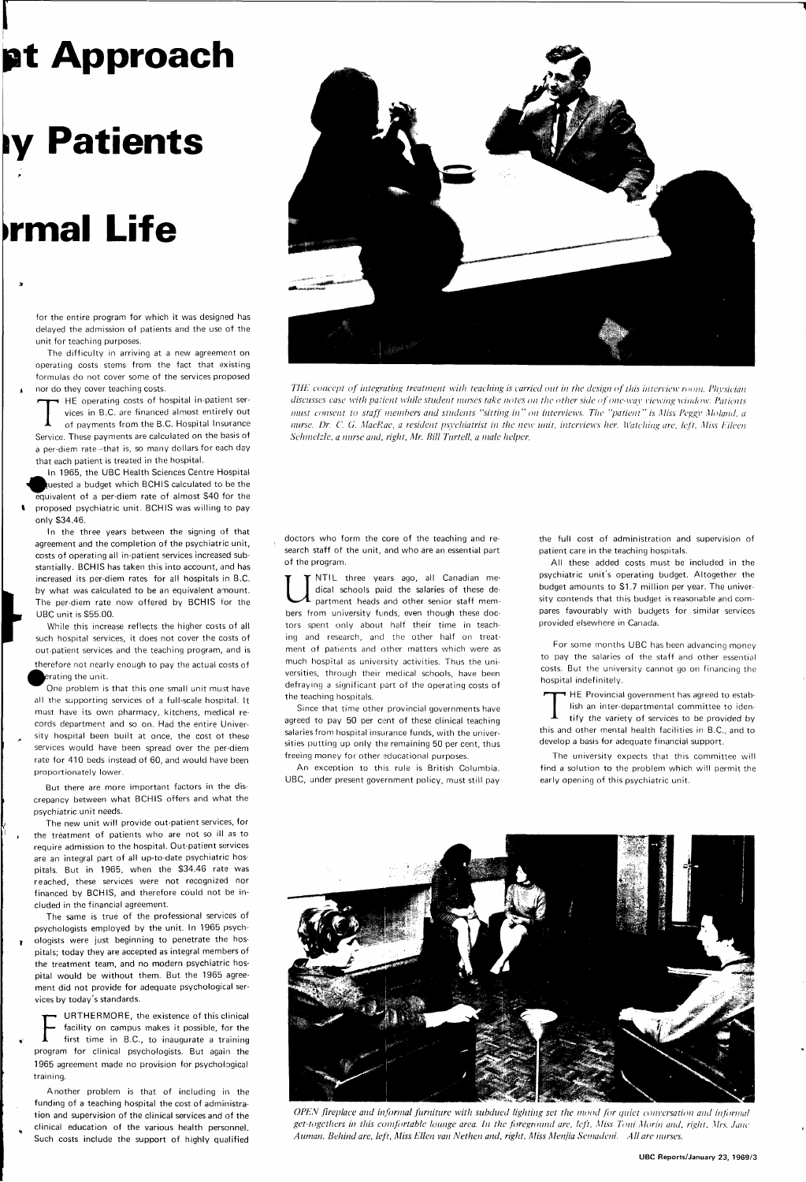### **pt Approach**

## **ly Patients**

### **•rmal Life**

**^** 

The difficulty in arriving at a new agreement on operating costs stems from the fact that existing formulas do not cover some of the services proposed nor do they cover teaching costs.

for the entire program for which it was designed has delayed the admission of patients and the use of the unit for teaching purposes.

THE operating costs of hospital in-patient services in B.C. are financed almost entirely out of payments from the B.C. Hospital Insurance Service. These payments are calculated on the basis of HE operating costs of hospital in-patient services in B.C. are financed almost entirely out of payments from the B.C. Hospital Insurance a per-diem rate-that is, so many dollars for each day that each patient is treated in the hospital.

therefore not nearly enough to pay the actual costs of erating the unit.

In 1965, the UBC Health Sciences Centre Hospital uested a budget which BCHIS calculated to be the equivalent of a per-diem rate of almost \$40 for the I proposed psychiatric unit. BCHIS was willing to pay only \$34.46.

In the three years between the signing of that agreement and the completion of the psychiatric unit, costs of operating all in-patient services increased substantially. BCHIS has taken this into account, and has increased its per-diem rates for all hospitals in B.C. by what was calculated to be an equivalent amount. The per-diem rate now offered by BCHIS for the UBC unit is \$55.00.

While this increase reflects the higher costs of all such hospital services, it does not cover the costs of out-patient services and the teaching program, and is

One problem is that this one small unit must have all the supporting services of a full-scale hospital. It must have its own pharmacy, kitchens, medical records department and so on. Had the entire University hospital been built at once, the cost of these services would have been spread over the per-diem rate for 410 beds instead of 60, and would have been proportionately lower.

But there are more important factors in the discrepancy between what BCHIS offers and what the psychiatric unit needs.

The new unit will provide out-patient services, for the treatment of patients who are not so ill as to require admission to the hospital. Out-patient services are an integral part of all up-to-date psychiatric hospitals. But in 1965, when the \$34.46 rate was reached, these services were not recognized nor financed by BCHIS, and therefore could not be in-



cluded in the financial agreement.

The same is true of the professional services of psychologists employed by the unit. In 1965 psychologists were just beginning to penetrate the hospitals; today they are accepted as integral members of the treatment team, and no modern psychiatric hospital would be without them. But the 1965 agreement did not provide for adequate psychological services by today's standards.

URTHERMORE, the existence of this clinical facility on campus makes it possible, for the first time in B.C., to inaugurate a training program for clinical psychologists. But again the 1965 agreement made no provision for psychological training. **F** 

Another problem is that of including in the funding of a teaching hospital the cost of administration and supervision of the clinical services and of the clinical education of the various health personnel. Such costs include the support of highly qualified

*THE concept of integrating treatment with teaching is carried out in the design of this interview room. Physician discusses case with patient while student nurses take notes on the other side of one-way viewing window. Patients must consent to staff members and students "sitting in" on interviews. The "patient" is Miss Peggy Moland, a nurse. Dr. C. G. MacRae, a resident psychiatrist in the new unit, interviews her. Watching are. left. Miss Eileen Schmelzle. a nurse and, right, Mr. Bill Turtell. a male helper.* 

doctors who form the core of the teaching and research staff of the unit, and who are an essential part of the program.

U NTIL three years ago, all Canadian medical schools paid the salaries of these department heads and other senior staff members from university funds, even though these doctors spent only about half their time in teaching and research, and the other half on treatment of patients and other matters which were as much hospital as university activities. Thus the universities, through their medical schools, have been defraying a significant part of the operating costs of the teaching hospitals.

Since that time other provincial governments have agreed to pay 50 per cent of these clinical teaching salaries from hospital insurance funds, with the universities putting up only the remaining 50 per cent, thus freeing money for other educational purposes.

An exception to this rule is British Columbia. UBC, under present government policy, must still pay the full cost of administration and supervision of patient care in the teaching hospitals.

All these added costs must be included in the psychiatric unit's operating budget. Altogether the budget amounts to \$1.7 million per year. The university contends that this budget is reasonable and compares favourably with budgets for similar services provided elsewhere in Canada.

For some months UBC has been advancing money to pay the salaries of the staff and other essential costs. But the university cannot go on financing the hospital indefinitely.

T HE Provincial government has agreed to establish an inter-departmental committee to identify the variety of services to be provided by this and other mental health facilities in B.C., and to develop a basis for adequate financial support.

The university expects that this committee will find a solution to the problem which will permit the early opening of this psychiatric unit.



*OPEN fireplace and informal furniture with subdued lighting set the mood for quiet conversation and informal get-togethers in this comfortable lounge area. In the foreground are. left. Miss Toni Morin and. right, Mrs. Jane Auman. Behind are, left, Miss Ellen van Nethen and, right, Miss Menjia Scmadeni. All are nurses.*